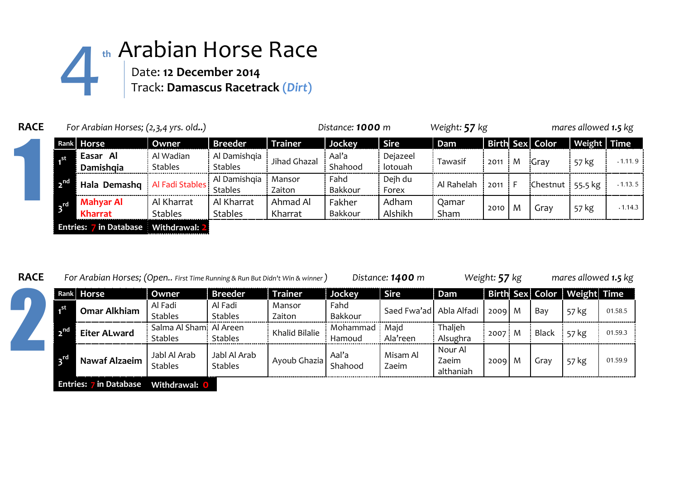

| <b>RACE</b> |              | For Arabian Horses; (2,3,4 yrs. old)   |                              | Distance: 1000 m               |                     |                   | Weight: 57 kg       |               |      | mares allowed 1.5 kg |                 |             |         |
|-------------|--------------|----------------------------------------|------------------------------|--------------------------------|---------------------|-------------------|---------------------|---------------|------|----------------------|-----------------|-------------|---------|
|             |              | Rank Horse                             | Owner                        | <b>Breeder</b>                 | <b>Trainer</b>      | Jockey            | <b>Sire</b>         | Dam           |      |                      | Birth Sex Color | Weight Time |         |
|             | .st          | Easar Al<br>Damishgia                  | Al Wadian<br><b>Stables</b>  | Al Damishqia<br><b>Stables</b> | Jihad Ghazal        | Aal'a<br>Shahood  | Dejazeel<br>lotouah | Tawasif       | 2011 | . M                  | :Gray           | 57 kg       | .1.11.9 |
|             | $\mathbf{R}$ | Hala Demashq                           | Al Fadi Stables              | Al Damishqia<br><b>Stables</b> | Mansor<br>Zaiton    | Fahd<br>Bakkour   | Dejh du<br>Forex    | Al Rahelah    | 2011 | -F                   | Chestnut        | 55.5 kg     | .1.13.5 |
|             | <b>ATC</b>   | Mahyar Al<br>Kharrat                   | Al Kharrat<br><b>Stables</b> | Al Kharrat<br><b>Stables</b>   | Ahmad Al<br>Kharrat | Fakher<br>Bakkour | Adham<br>Alshikh    | Qamar<br>Sham | 2010 | M                    | Gray            | 57 kg       | .1.14.3 |
|             |              | Entries: 7 in Database   Withdrawal: 2 |                              |                                |                     |                   |                     |               |      |                      |                 |             |         |

| <b>RACE</b> | For Arabian Horses; (Open First Time Running & Run But Didn't Win & winner) |                        |                                           |                                |                  |                      | Distance: 1400 m        |                               | Weight: 57 kg |   |              | mares allowed 1.5 kg        |         |  |
|-------------|-----------------------------------------------------------------------------|------------------------|-------------------------------------------|--------------------------------|------------------|----------------------|-------------------------|-------------------------------|---------------|---|--------------|-----------------------------|---------|--|
|             |                                                                             | Rank Horse             | Owner                                     | <b>Breeder</b>                 | <b>Trainer</b>   | Jockey               | <b>Sire</b>             | Dam                           |               |   |              | Birth Sex Color Weight Time |         |  |
|             | .st                                                                         | <b>Omar Alkhiam</b>    | Al Fadi<br><b>Stables</b>                 | Al Fadi<br><b>Stables</b>      | Mansor<br>Zaiton | Fahd<br>Bakkour      | Saed Fwa'ad Abla Alfadi |                               | 2009          | M | Bay          | 57 kg                       | 01.58.5 |  |
|             | <sub>n</sub> nd                                                             | <b>Eiter ALward</b>    | Salma Al Sham! Al Areen<br><b>Stables</b> | <b>Stables</b>                 | Khalid Bilalie   | Mohammad i<br>Hamoud | Majd<br>Ala'reen        | Thaljeh<br>Alsughra           | 2007 M        |   | <b>Black</b> | 57 kg                       | 01.59.3 |  |
|             | $\mathbf{s}^{\text{ref}}$                                                   | <b>Nawaf Alzaeim</b>   | Jabl Al Arab<br><b>Stables</b>            | Jabl Al Arab<br><b>Stables</b> | Ayoub Ghazia     | Aal'a<br>Shahood     | Misam Al<br>Zaeim       | Nour Al<br>Zaeim<br>althaniah | 2009          | M | Grav         | 57 kg                       | 01.59.9 |  |
|             |                                                                             | Entries: 7 in Database | Withdrawal: 0                             |                                |                  |                      |                         |                               |               |   |              |                             |         |  |